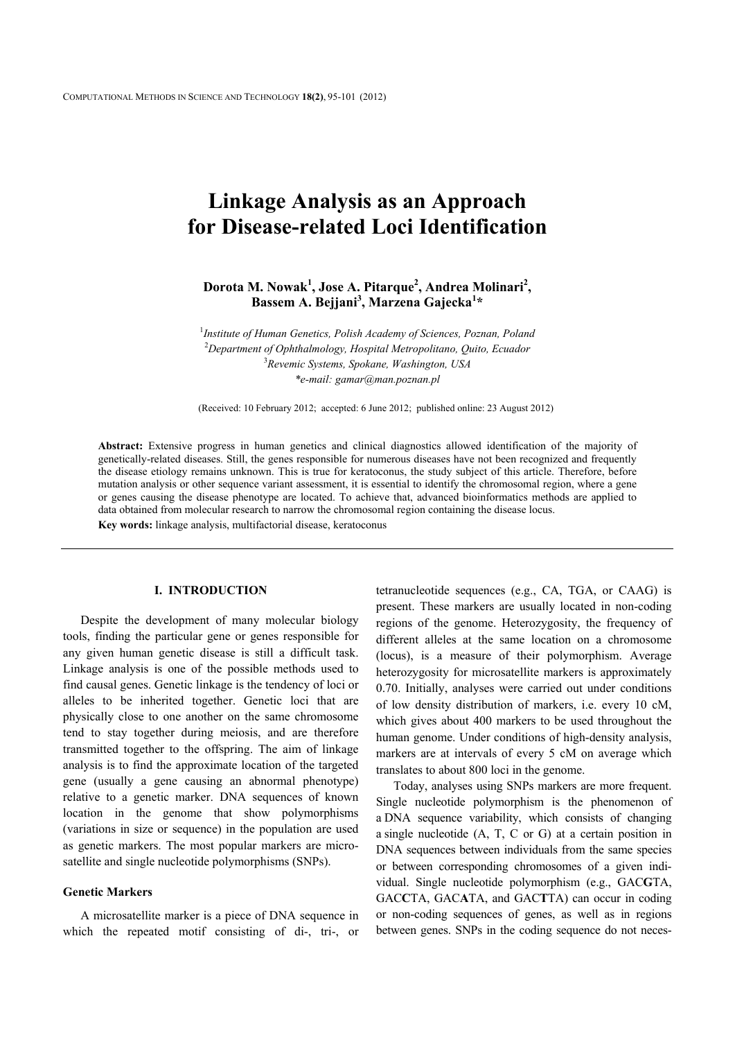# **Linkage Analysis as an Approach for Disease-related Loci Identification**

Dorota M. Nowak<sup>1</sup>, Jose A. Pitarque<sup>2</sup>, Andrea Molinari<sup>2</sup>, **Bassem A. Bejjani<sup>3</sup> , Marzena Gajecka<sup>1</sup> \*** 

<sup>1</sup> Institute of Human Genetics, Polish Academy of Sciences, Poznan, Poland 2 *Department of Ophthalmology, Hospital Metropolitano, Quito, Ecuador* 3 *Revemic Systems, Spokane, Washington, USA \*e-mail: gamar@man.poznan.pl* 

(Received: 10 February 2012; accepted: 6 June 2012; published online: 23 August 2012)

**Abstract:** Extensive progress in human genetics and clinical diagnostics allowed identification of the majority of genetically-related diseases. Still, the genes responsible for numerous diseases have not been recognized and frequently the disease etiology remains unknown. This is true for keratoconus, the study subject of this article. Therefore, before mutation analysis or other sequence variant assessment, it is essential to identify the chromosomal region, where a gene or genes causing the disease phenotype are located. To achieve that, advanced bioinformatics methods are applied to data obtained from molecular research to narrow the chromosomal region containing the disease locus.

**Key words:** linkage analysis, multifactorial disease, keratoconus

## **I. INTRODUCTION**

Despite the development of many molecular biology tools, finding the particular gene or genes responsible for any given human genetic disease is still a difficult task. Linkage analysis is one of the possible methods used to find causal genes. Genetic linkage is the tendency of loci or alleles to be inherited together. Genetic loci that are physically close to one another on the same chromosome tend to stay together during meiosis, and are therefore transmitted together to the offspring. The aim of linkage analysis is to find the approximate location of the targeted gene (usually a gene causing an abnormal phenotype) relative to a genetic marker. DNA sequences of known location in the genome that show polymorphisms (variations in size or sequence) in the population are used as genetic markers. The most popular markers are microsatellite and single nucleotide polymorphisms (SNPs).

## **Genetic Markers**

A microsatellite marker is a piece of DNA sequence in which the repeated motif consisting of di-, tri-, or tetranucleotide sequences (e.g., CA, TGA, or CAAG) is present. These markers are usually located in non-coding regions of the genome. Heterozygosity, the frequency of different alleles at the same location on a chromosome (locus), is a measure of their polymorphism. Average heterozygosity for microsatellite markers is approximately 0.70. Initially, analyses were carried out under conditions of low density distribution of markers, i.e. every 10 cM, which gives about 400 markers to be used throughout the human genome. Under conditions of high-density analysis, markers are at intervals of every 5 cM on average which translates to about 800 loci in the genome.

Today, analyses using SNPs markers are more frequent. Single nucleotide polymorphism is the phenomenon of a DNA sequence variability, which consists of changing a single nucleotide (A, T, C or G) at a certain position in DNA sequences between individuals from the same species or between corresponding chromosomes of a given individual. Single nucleotide polymorphism (e.g., GAC**G**TA, GAC**C**TA, GAC**A**TA, and GAC**T**TA) can occur in coding or non-coding sequences of genes, as well as in regions between genes. SNPs in the coding sequence do not neces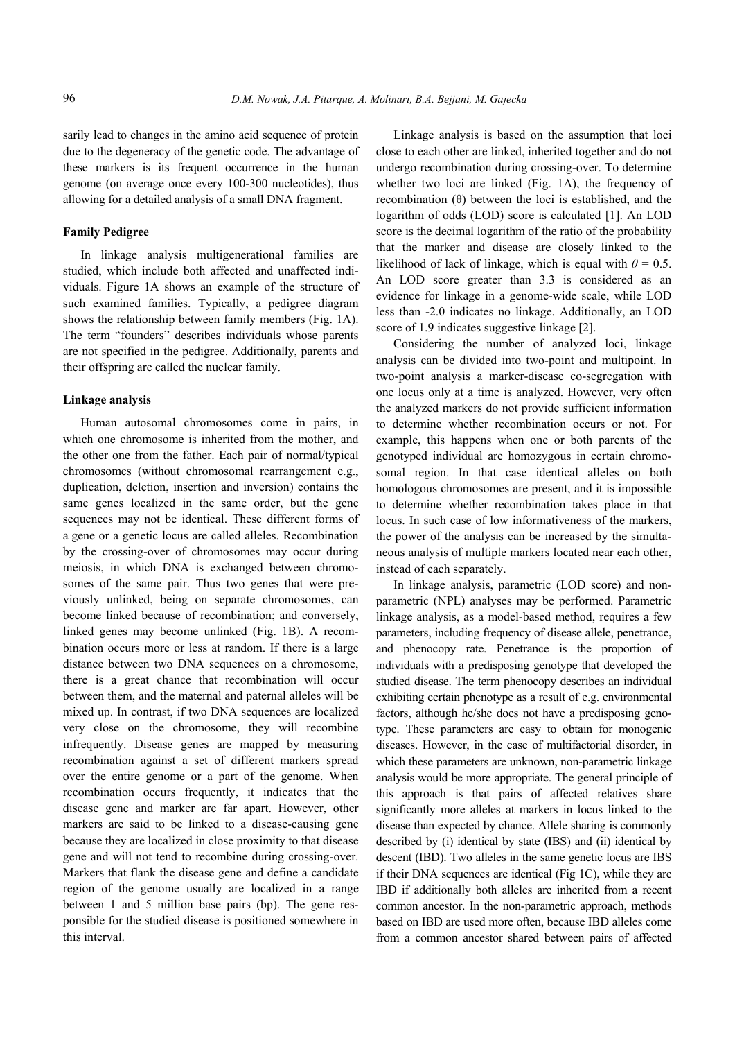sarily lead to changes in the amino acid sequence of protein due to the degeneracy of the genetic code. The advantage of these markers is its frequent occurrence in the human genome (on average once every 100-300 nucleotides), thus allowing for a detailed analysis of a small DNA fragment.

## **Family Pedigree**

In linkage analysis multigenerational families are studied, which include both affected and unaffected individuals. Figure 1A shows an example of the structure of such examined families. Typically, a pedigree diagram shows the relationship between family members (Fig. 1A). The term "founders" describes individuals whose parents are not specified in the pedigree. Additionally, parents and their offspring are called the nuclear family.

# **Linkage analysis**

Human autosomal chromosomes come in pairs, in which one chromosome is inherited from the mother, and the other one from the father. Each pair of normal/typical chromosomes (without chromosomal rearrangement e.g., duplication, deletion, insertion and inversion) contains the same genes localized in the same order, but the gene sequences may not be identical. These different forms of a gene or a genetic locus are called alleles. Recombination by the crossing-over of chromosomes may occur during meiosis, in which DNA is exchanged between chromosomes of the same pair. Thus two genes that were previously unlinked, being on separate chromosomes, can become linked because of recombination; and conversely, linked genes may become unlinked (Fig. 1B). A recombination occurs more or less at random. If there is a large distance between two DNA sequences on a chromosome, there is a great chance that recombination will occur between them, and the maternal and paternal alleles will be mixed up. In contrast, if two DNA sequences are localized very close on the chromosome, they will recombine infrequently. Disease genes are mapped by measuring recombination against a set of different markers spread over the entire genome or a part of the genome. When recombination occurs frequently, it indicates that the disease gene and marker are far apart. However, other markers are said to be linked to a disease-causing gene because they are localized in close proximity to that disease gene and will not tend to recombine during crossing-over. Markers that flank the disease gene and define a candidate region of the genome usually are localized in a range between 1 and 5 million base pairs (bp). The gene responsible for the studied disease is positioned somewhere in this interval.

Linkage analysis is based on the assumption that loci close to each other are linked, inherited together and do not undergo recombination during crossing-over. To determine whether two loci are linked (Fig. 1A), the frequency of recombination (θ) between the loci is established, and the logarithm of odds (LOD) score is calculated [1]. An LOD score is the decimal logarithm of the ratio of the probability that the marker and disease are closely linked to the likelihood of lack of linkage, which is equal with  $\theta = 0.5$ . An LOD score greater than 3.3 is considered as an evidence for linkage in a genome-wide scale, while LOD less than -2.0 indicates no linkage. Additionally, an LOD score of 1.9 indicates suggestive linkage [2].

Considering the number of analyzed loci, linkage analysis can be divided into two-point and multipoint. In two-point analysis a marker-disease co-segregation with one locus only at a time is analyzed. However, very often the analyzed markers do not provide sufficient information to determine whether recombination occurs or not. For example, this happens when one or both parents of the genotyped individual are homozygous in certain chromosomal region. In that case identical alleles on both homologous chromosomes are present, and it is impossible to determine whether recombination takes place in that locus. In such case of low informativeness of the markers, the power of the analysis can be increased by the simultaneous analysis of multiple markers located near each other, instead of each separately.

In linkage analysis, parametric (LOD score) and nonparametric (NPL) analyses may be performed. Parametric linkage analysis, as a model-based method, requires a few parameters, including frequency of disease allele, penetrance, and phenocopy rate. Penetrance is the proportion of individuals with a predisposing genotype that developed the studied disease. The term phenocopy describes an individual exhibiting certain phenotype as a result of e.g. environmental factors, although he/she does not have a predisposing genotype. These parameters are easy to obtain for monogenic diseases. However, in the case of multifactorial disorder, in which these parameters are unknown, non-parametric linkage analysis would be more appropriate. The general principle of this approach is that pairs of affected relatives share significantly more alleles at markers in locus linked to the disease than expected by chance. Allele sharing is commonly described by (i) identical by state (IBS) and (ii) identical by descent (IBD). Two alleles in the same genetic locus are IBS if their DNA sequences are identical (Fig 1C), while they are IBD if additionally both alleles are inherited from a recent common ancestor. In the non-parametric approach, methods based on IBD are used more often, because IBD alleles come from a common ancestor shared between pairs of affected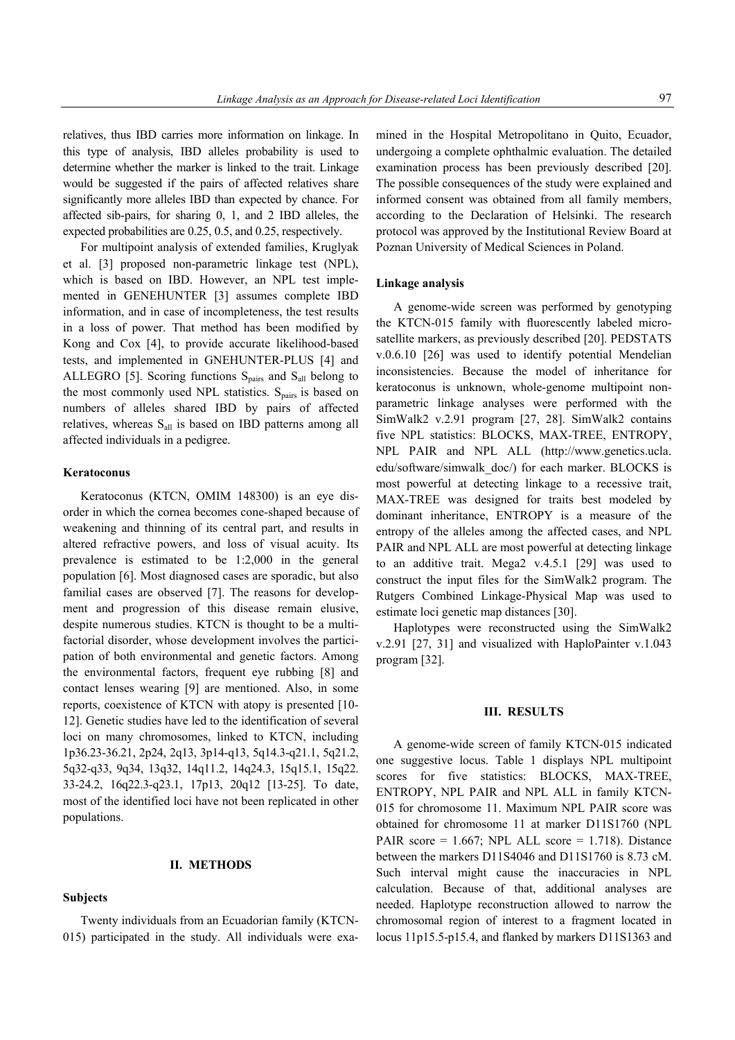relatives, thus IBD carries more information on linkage. In this type of analysis, IBD alleles probability is used to determine whether the marker is linked to the trait. Linkage would be suggested if the pairs of affected relatives share significantly more alleles IBD than expected by chance. For affected sib-pairs, for sharing 0, 1, and 2 IBD alleles, the expected probabilities are 0.25, 0.5, and 0.25, respectively.

For multipoint analysis of extended families, Kruglyak et al. [3] proposed non-parametric linkage test (NPL), which is based on IBD. However, an NPL test implemented in GENEHUNTER [3] assumes complete IBD information, and in case of incompleteness, the test results in a loss of power. That method has been modified by Kong and Cox [4], to provide accurate likelihood-based tests, and implemented in GNEHUNTER-PLUS [4] and ALLEGRO [5]. Scoring functions  $S_{pairs}$  and  $S_{all}$  belong to the most commonly used NPL statistics.  $S_{pairs}$  is based on numbers of alleles shared IBD by pairs of affected relatives, whereas S<sub>all</sub> is based on IBD patterns among all affected individuals in a pedigree.

## **Keratoconus**

Keratoconus (KTCN, OMIM 148300) is an eye disorder in which the cornea becomes cone-shaped because of weakening and thinning of its central part, and results in altered refractive powers, and loss of visual acuity. Its prevalence is estimated to be 1:2,000 in the general population [6]. Most diagnosed cases are sporadic, but also familial cases are observed [7]. The reasons for development and progression of this disease remain elusive, despite numerous studies. KTCN is thought to be a multifactorial disorder, whose development involves the participation of both environmental and genetic factors. Among the environmental factors, frequent eye rubbing [8] and contact lenses wearing [9] are mentioned. Also, in some reports, coexistence of KTCN with atopy is presented [10- 12]. Genetic studies have led to the identification of several loci on many chromosomes, linked to KTCN, including 1p36.23-36.21, 2p24, 2q13, 3p14-q13, 5q14.3-q21.1, 5q21.2, 5q32-q33, 9q34, 13q32, 14q11.2, 14q24.3, 15q15.1, 15q22. 33-24.2, 16q22.3-q23.1, 17p13, 20q12 [13-25]. To date, most of the identified loci have not been replicated in other populations.

# **II. METHODS**

# **Subjects**

Twenty individuals from an Ecuadorian family (KTCN-015) participated in the study. All individuals were exa-

mined in the Hospital Metropolitano in Quito, Ecuador, undergoing a complete ophthalmic evaluation. The detailed examination process has been previously described [20]. The possible consequences of the study were explained and informed consent was obtained from all family members, according to the Declaration of Helsinki. The research protocol was approved by the Institutional Review Board at Poznan University of Medical Sciences in Poland.

## **Linkage analysis**

A genome-wide screen was performed by genotyping the KTCN-015 family with fluorescently labeled microsatellite markers, as previously described [20]. PEDSTATS v.0.6.10 [26] was used to identify potential Mendelian inconsistencies. Because the model of inheritance for keratoconus is unknown, whole-genome multipoint nonparametric linkage analyses were performed with the SimWalk2 v.2.91 program [27, 28]. SimWalk2 contains five NPL statistics: BLOCKS, MAX-TREE, ENTROPY, NPL PAIR and NPL ALL (http://www.genetics.ucla. edu/software/simwalk\_doc/) for each marker. BLOCKS is most powerful at detecting linkage to a recessive trait, MAX-TREE was designed for traits best modeled by dominant inheritance, ENTROPY is a measure of the entropy of the alleles among the affected cases, and NPL PAIR and NPL ALL are most powerful at detecting linkage to an additive trait. Mega2 v.4.5.1 [29] was used to construct the input files for the SimWalk2 program. The Rutgers Combined Linkage-Physical Map was used to estimate loci genetic map distances [30].

Haplotypes were reconstructed using the SimWalk2 v.2.91 [27, 31] and visualized with HaploPainter v.1.043 program [32].

# **III. RESULTS**

A genome-wide screen of family KTCN-015 indicated one suggestive locus. Table 1 displays NPL multipoint scores for five statistics: BLOCKS, MAX-TREE, ENTROPY, NPL PAIR and NPL ALL in family KTCN-015 for chromosome 11. Maximum NPL PAIR score was obtained for chromosome 11 at marker D11S1760 (NPL PAIR score =  $1.667$ ; NPL ALL score = 1.718). Distance between the markers D11S4046 and D11S1760 is 8.73 cM. Such interval might cause the inaccuracies in NPL calculation. Because of that, additional analyses are needed. Haplotype reconstruction allowed to narrow the chromosomal region of interest to a fragment located in locus 11p15.5-p15.4, and flanked by markers D11S1363 and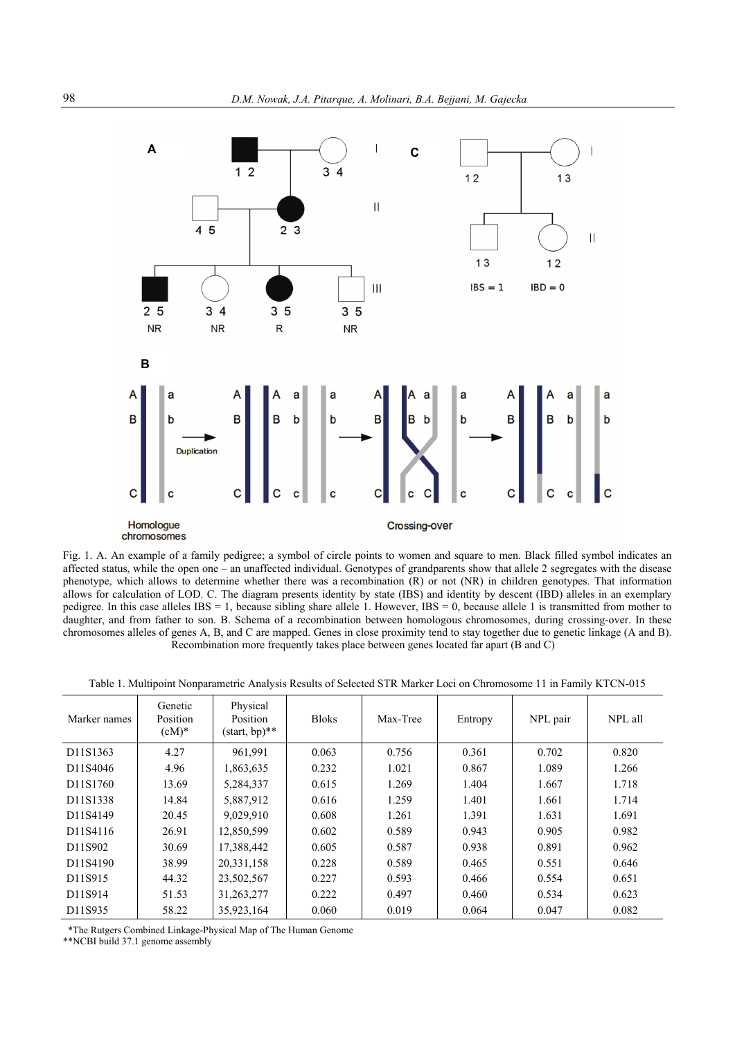

Fig. 1. A. An example of a family pedigree; a symbol of circle points to women and square to men. Black filled symbol indicates an affected status, while the open one – an unaffected individual. Genotypes of grandparents show that allele 2 segregates with the disease phenotype, which allows to determine whether there was a recombination (R) or not (NR) in children genotypes. That information allows for calculation of LOD. C. The diagram presents identity by state (IBS) and identity by descent (IBD) alleles in an exemplary pedigree. In this case alleles IBS = 1, because sibling share allele 1. However, IBS = 0, because allele 1 is transmitted from mother to daughter, and from father to son. B. Schema of a recombination between homologous chromosomes, during crossing-over. In these chromosomes alleles of genes A, B, and C are mapped. Genes in close proximity tend to stay together due to genetic linkage (A and B). Recombination more frequently takes place between genes located far apart (B and C)

Table 1. Multipoint Nonparametric Analysis Results of Selected STR Marker Loci on Chromosome 11 in Family KTCN-015

| Marker names | Genetic<br>Position<br>$(cM)^*$ | Physical<br>Position<br>$(start, bp)^{**}$ | <b>Bloks</b> | Max-Tree | Entropy | NPL pair | NPL all |
|--------------|---------------------------------|--------------------------------------------|--------------|----------|---------|----------|---------|
| D11S1363     | 4.27                            | 961,991                                    | 0.063        | 0.756    | 0.361   | 0.702    | 0.820   |
| D11S4046     | 4.96                            | 1,863,635                                  | 0.232        | 1.021    | 0.867   | 1.089    | 1.266   |
| D11S1760     | 13.69                           | 5,284,337                                  | 0.615        | 1.269    | 1.404   | 1.667    | 1.718   |
| D11S1338     | 14.84                           | 5,887,912                                  | 0.616        | 1.259    | 1.401   | 1.661    | 1.714   |
| D11S4149     | 20.45                           | 9,029,910                                  | 0.608        | 1.261    | 1.391   | 1.631    | 1.691   |
| D11S4116     | 26.91                           | 12,850,599                                 | 0.602        | 0.589    | 0.943   | 0.905    | 0.982   |
| D11S902      | 30.69                           | 17,388,442                                 | 0.605        | 0.587    | 0.938   | 0.891    | 0.962   |
| D11S4190     | 38.99                           | 20,331,158                                 | 0.228        | 0.589    | 0.465   | 0.551    | 0.646   |
| D11S915      | 44.32                           | 23,502,567                                 | 0.227        | 0.593    | 0.466   | 0.554    | 0.651   |
| D11S914      | 51.53                           | 31,263,277                                 | 0.222        | 0.497    | 0.460   | 0.534    | 0.623   |
| D11S935      | 58.22                           | 35,923,164                                 | 0.060        | 0.019    | 0.064   | 0.047    | 0.082   |

\*The Rutgers Combined Linkage-Physical Map of The Human Genome

\*\*NCBI build 37.1 genome assembly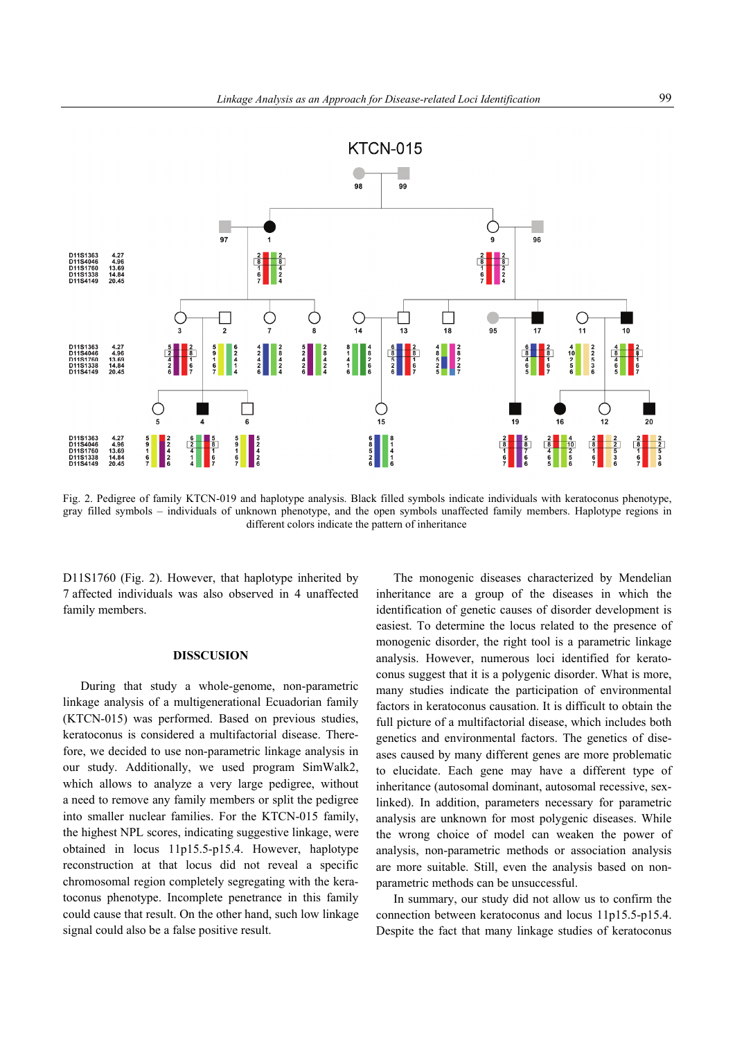

Fig. 2. Pedigree of family KTCN-019 and haplotype analysis. Black filled symbols indicate individuals with keratoconus phenotype, gray filled symbols – individuals of unknown phenotype, and the open symbols unaffected family members. Haplotype regions in different colors indicate the pattern of inheritance

D11S1760 (Fig. 2). However, that haplotype inherited by 7 affected individuals was also observed in 4 unaffected family members.

# **DISSCUSION**

During that study a whole-genome, non-parametric linkage analysis of a multigenerational Ecuadorian family (KTCN-015) was performed. Based on previous studies, keratoconus is considered a multifactorial disease. Therefore, we decided to use non-parametric linkage analysis in our study. Additionally, we used program SimWalk2, which allows to analyze a very large pedigree, without a need to remove any family members or split the pedigree into smaller nuclear families. For the KTCN-015 family, the highest NPL scores, indicating suggestive linkage, were obtained in locus 11p15.5-p15.4. However, haplotype reconstruction at that locus did not reveal a specific chromosomal region completely segregating with the keratoconus phenotype. Incomplete penetrance in this family could cause that result. On the other hand, such low linkage signal could also be a false positive result.

The monogenic diseases characterized by Mendelian inheritance are a group of the diseases in which the identification of genetic causes of disorder development is easiest. To determine the locus related to the presence of monogenic disorder, the right tool is a parametric linkage analysis. However, numerous loci identified for keratoconus suggest that it is a polygenic disorder. What is more, many studies indicate the participation of environmental factors in keratoconus causation. It is difficult to obtain the full picture of a multifactorial disease, which includes both genetics and environmental factors. The genetics of diseases caused by many different genes are more problematic to elucidate. Each gene may have a different type of inheritance (autosomal dominant, autosomal recessive, sexlinked). In addition, parameters necessary for parametric analysis are unknown for most polygenic diseases. While the wrong choice of model can weaken the power of analysis, non-parametric methods or association analysis are more suitable. Still, even the analysis based on nonparametric methods can be unsuccessful.

In summary, our study did not allow us to confirm the connection between keratoconus and locus 11p15.5-p15.4. Despite the fact that many linkage studies of keratoconus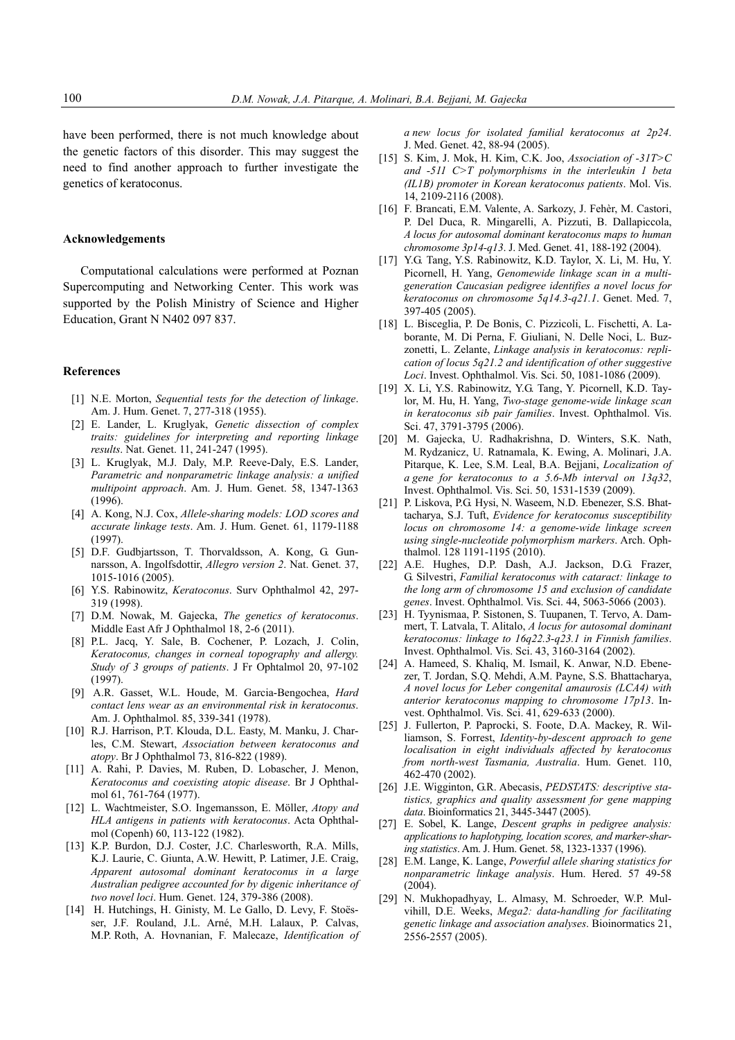have been performed, there is not much knowledge about the genetic factors of this disorder. This may suggest the need to find another approach to further investigate the genetics of keratoconus.

## **Acknowledgements**

Computational calculations were performed at Poznan Supercomputing and Networking Center. This work was supported by the Polish Ministry of Science and Higher Education, Grant N N402 097 837.

### **References**

- [1] N.E. Morton, *Sequential tests for the detection of linkage*. Am. J. Hum. Genet. 7, 277-318 (1955).
- [2] E. Lander, L. Kruglyak, *Genetic dissection of complex traits: guidelines for interpreting and reporting linkage results*. Nat. Genet. 11, 241-247 (1995).
- [3] L. Kruglyak, M.J. Daly, M.P. Reeve-Daly, E.S. Lander, *Parametric and nonparametric linkage analysis: a unified multipoint approach*. Am. J. Hum. Genet. 58, 1347-1363 (1996).
- [4] A. Kong, N.J. Cox, *Allele-sharing models: LOD scores and accurate linkage tests*. Am. J. Hum. Genet. 61, 1179-1188 (1997).
- [5] D.F. Gudbjartsson, T. Thorvaldsson, A. Kong, G. Gunnarsson, A. Ingolfsdottir, *Allegro version 2*. Nat. Genet. 37, 1015-1016 (2005).
- [6] Y.S. Rabinowitz, *Keratoconus*. Surv Ophthalmol 42, 297- 319 (1998).
- [7] D.M. Nowak, M. Gajecka, *The genetics of keratoconus*. Middle East Afr J Ophthalmol 18, 2-6 (2011).
- [8] P.L. Jacq, Y. Sale, B. Cochener, P. Lozach, J. Colin, *Keratoconus, changes in corneal topography and allergy. Study of 3 groups of patients*. J Fr Ophtalmol 20, 97-102 (1997).
- [9] A.R. Gasset, W.L. Houde, M. Garcia-Bengochea, *Hard contact lens wear as an environmental risk in keratoconus*. Am. J. Ophthalmol. 85, 339-341 (1978).
- [10] R.J. Harrison, P.T. Klouda, D.L. Easty, M. Manku, J. Charles, C.M. Stewart, *Association between keratoconus and atopy*. Br J Ophthalmol 73, 816-822 (1989).
- [11] A. Rahi, P. Davies, M. Ruben, D. Lobascher, J. Menon, *Keratoconus and coexisting atopic disease*. Br J Ophthalmol 61, 761-764 (1977).
- [12] L. Wachtmeister, S.O. Ingemansson, E. Möller, *Atopy and HLA antigens in patients with keratoconus*. Acta Ophthalmol (Copenh) 60, 113-122 (1982).
- [13] K.P. Burdon, D.J. Coster, J.C. Charlesworth, R.A. Mills, K.J. Laurie, C. Giunta, A.W. Hewitt, P. Latimer, J.E. Craig, *Apparent autosomal dominant keratoconus in a large Australian pedigree accounted for by digenic inheritance of two novel loci*. Hum. Genet. 124, 379-386 (2008).
- [14] H. Hutchings, H. Ginisty, M. Le Gallo, D. Levy, F. Stoësser, J.F. Rouland, J.L. Arné, M.H. Lalaux, P. Calvas, M.P. Roth, A. Hovnanian, F. Malecaze, *Identification of*

*a new locus for isolated familial keratoconus at 2p24*. J. Med. Genet. 42, 88-94 (2005).

- [15] S. Kim, J. Mok, H. Kim, C.K. Joo, *Association of -31T>C and -511 C>T polymorphisms in the interleukin 1 beta (IL1B) promoter in Korean keratoconus patients*. Mol. Vis. 14, 2109-2116 (2008).
- [16] F. Brancati, E.M. Valente, A. Sarkozy, J. Fehèr, M. Castori, P. Del Duca, R. Mingarelli, A. Pizzuti, B. Dallapiccola, *A locus for autosomal dominant keratoconus maps to human chromosome 3p14-q13*. J. Med. Genet. 41, 188-192 (2004).
- [17] Y.G. Tang, Y.S. Rabinowitz, K.D. Taylor, X. Li, M. Hu, Y. Picornell, H. Yang, *Genomewide linkage scan in a multigeneration Caucasian pedigree identifies a novel locus for keratoconus on chromosome 5q14.3-q21.1*. Genet. Med. 7, 397-405 (2005).
- [18] L. Bisceglia, P. De Bonis, C. Pizzicoli, L. Fischetti, A. Laborante, M. Di Perna, F. Giuliani, N. Delle Noci, L. Buzzonetti, L. Zelante, *Linkage analysis in keratoconus: replication of locus 5q21.2 and identification of other suggestive Loci*. Invest. Ophthalmol. Vis. Sci. 50, 1081-1086 (2009).
- [19] X. Li, Y.S. Rabinowitz, Y.G. Tang, Y. Picornell, K.D. Taylor, M. Hu, H. Yang, *Two-stage genome-wide linkage scan in keratoconus sib pair families*. Invest. Ophthalmol. Vis. Sci. 47, 3791-3795 (2006).
- [20] M. Gajecka, U. Radhakrishna, D. Winters, S.K. Nath, M. Rydzanicz, U. Ratnamala, K. Ewing, A. Molinari, J.A. Pitarque, K. Lee, S.M. Leal, B.A. Bejjani, *Localization of a gene for keratoconus to a 5.6-Mb interval on 13q32*, Invest. Ophthalmol. Vis. Sci. 50, 1531-1539 (2009).
- [21] P. Liskova, P.G. Hysi, N. Waseem, N.D. Ebenezer, S.S. Bhattacharya, S.J. Tuft, *Evidence for keratoconus susceptibility locus on chromosome 14: a genome-wide linkage screen using single-nucleotide polymorphism markers*. Arch. Ophthalmol. 128 1191-1195 (2010).
- [22] A.E. Hughes, D.P. Dash, A.J. Jackson, D.G. Frazer, G. Silvestri, *Familial keratoconus with cataract: linkage to the long arm of chromosome 15 and exclusion of candidate genes*. Invest. Ophthalmol. Vis. Sci. 44, 5063-5066 (2003).
- [23] H. Tyynismaa, P. Sistonen, S. Tuupanen, T. Tervo, A. Dammert, T. Latvala, T. Alitalo, *A locus for autosomal dominant keratoconus: linkage to 16q22.3-q23.1 in Finnish families*. Invest. Ophthalmol. Vis. Sci. 43, 3160-3164 (2002).
- [24] A. Hameed, S. Khaliq, M. Ismail, K. Anwar, N.D. Ebenezer, T. Jordan, S.Q. Mehdi, A.M. Payne, S.S. Bhattacharya, *A novel locus for Leber congenital amaurosis (LCA4) with anterior keratoconus mapping to chromosome 17p13*. Invest. Ophthalmol. Vis. Sci. 41, 629-633 (2000).
- [25] J. Fullerton, P. Paprocki, S. Foote, D.A. Mackey, R. Williamson, S. Forrest, *Identity-by-descent approach to gene localisation in eight individuals affected by keratoconus from north-west Tasmania, Australia*. Hum. Genet. 110, 462-470 (2002).
- [26] J.E. Wigginton, G.R. Abecasis, *PEDSTATS: descriptive statistics, graphics and quality assessment for gene mapping data*. Bioinformatics 21, 3445-3447 (2005).
- [27] E. Sobel, K. Lange, *Descent graphs in pedigree analysis: applications to haplotyping, location scores, and marker-sharing statistics*. Am. J. Hum. Genet. 58, 1323-1337 (1996).
- [28] E.M. Lange, K. Lange, *Powerful allele sharing statistics for nonparametric linkage analysis*. Hum. Hered. 57 49-58 (2004).
- [29] N. Mukhopadhyay, L. Almasy, M. Schroeder, W.P. Mulvihill, D.E. Weeks, *Mega2: data-handling for facilitating genetic linkage and association analyses*. Bioinormatics 21, 2556-2557 (2005).